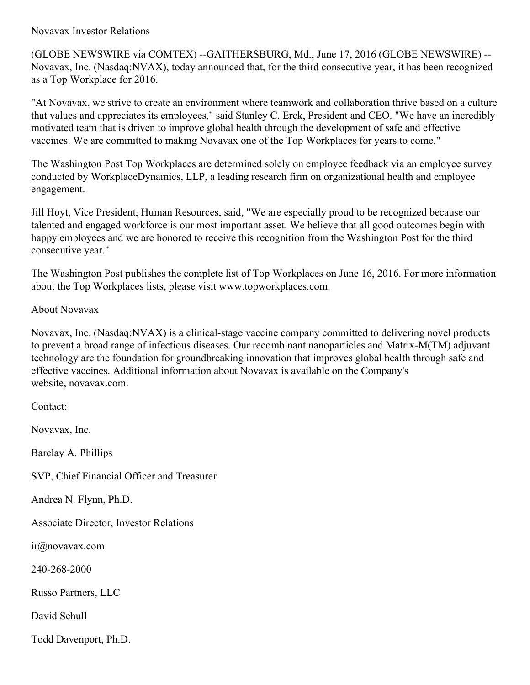## Novavax Investor Relations

(GLOBE NEWSWIRE via COMTEX) --GAITHERSBURG, Md., June 17, 2016 (GLOBE NEWSWIRE) -- Novavax, Inc. (Nasdaq:NVAX), today announced that, for the third consecutive year, it has been recognized as a Top Workplace for 2016.

"At Novavax, we strive to create an environment where teamwork and collaboration thrive based on a culture that values and appreciates its employees," said Stanley C. Erck, President and CEO. "We have an incredibly motivated team that is driven to improve global health through the development of safe and effective vaccines. We are committed to making Novavax one of the Top Workplaces for years to come."

The Washington Post Top Workplaces are determined solely on employee feedback via an employee survey conducted by WorkplaceDynamics, LLP, a leading research firm on organizational health and employee engagement.

Jill Hoyt, Vice President, Human Resources, said, "We are especially proud to be recognized because our talented and engaged workforce is our most important asset. We believe that all good outcomes begin with happy employees and we are honored to receive this recognition from the Washington Post for the third consecutive year."

The Washington Post publishes the complete list of Top Workplaces on June 16, 2016. For more information about the Top Workplaces lists, please visit www.topworkplaces.com.

## About Novavax

Novavax, Inc. (Nasdaq:NVAX) is a clinical-stage vaccine company committed to delivering novel products to prevent a broad range of infectious diseases. Our recombinant nanoparticles and Matrix-M(TM) adjuvant technology are the foundation for groundbreaking innovation that improves global health through safe and effective vaccines. Additional information about Novavax is available on the Company's website, novavax.com.

Contact: Novavax, Inc. Barclay A. Phillips SVP, Chief Financial Officer and Treasurer Andrea N. Flynn, Ph.D. Associate Director, Investor Relations ir@novavax.com 240-268-2000 Russo Partners, LLC David Schull Todd Davenport, Ph.D.